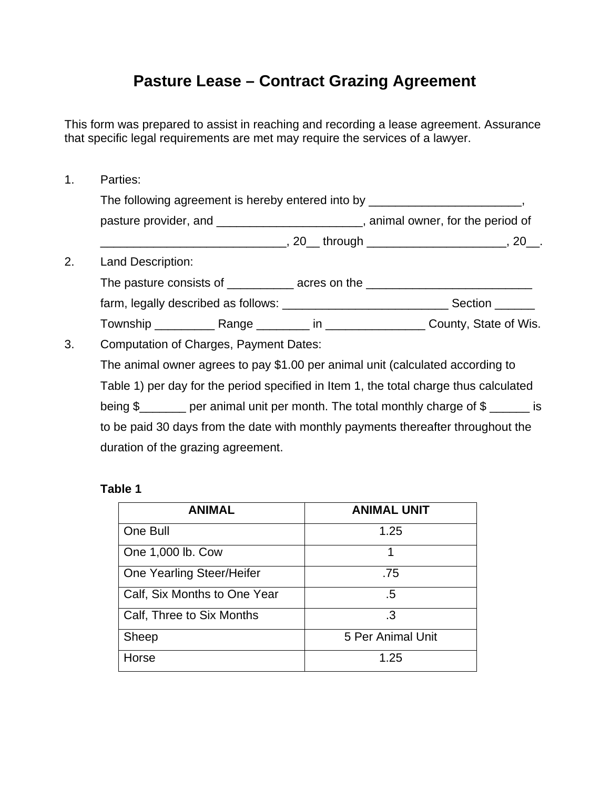## **Pasture Lease – Contract Grazing Agreement**

This form was prepared to assist in reaching and recording a lease agreement. Assurance that specific legal requirements are met may require the services of a lawyer.

1. Parties: The following agreement is hereby entered into by \_\_\_\_\_\_\_\_\_\_\_\_\_\_\_\_\_\_\_\_\_\_\_\_\_\_\_\_\_\_ pasture provider, and \_\_\_\_\_\_\_\_\_\_\_\_\_\_\_\_\_\_\_\_\_\_\_, animal owner, for the period of \_\_\_\_\_\_\_\_\_\_\_\_\_\_\_\_\_\_\_\_\_\_\_\_\_\_\_\_, 20\_\_ through \_\_\_\_\_\_\_\_\_\_\_\_\_\_\_\_\_\_\_\_\_, 20\_\_. 2. Land Description: The pasture consists of \_\_\_\_\_\_\_\_\_ acres on the \_\_\_\_\_\_\_\_\_\_\_\_\_\_\_\_\_\_\_\_\_\_\_\_\_\_\_\_\_\_\_\_\_ farm, legally described as follows: \_\_\_\_\_\_\_\_\_\_\_\_\_\_\_\_\_\_\_\_\_\_\_\_\_\_\_\_\_\_\_\_\_\_Section Township \_\_\_\_\_\_\_\_\_ Range \_\_\_\_\_\_\_\_ in \_\_\_\_\_\_\_\_\_\_\_\_\_\_\_ County, State of Wis. 3. Computation of Charges, Payment Dates: The animal owner agrees to pay \$1.00 per animal unit (calculated according to Table 1) per day for the period specified in Item 1, the total charge thus calculated being \$ per animal unit per month. The total monthly charge of \$

to be paid 30 days from the date with monthly payments thereafter throughout the duration of the grazing agreement.

## **Table 1**

| <b>ANIMAL</b>                | <b>ANIMAL UNIT</b> |
|------------------------------|--------------------|
| One Bull                     | 1.25               |
| One 1,000 lb. Cow            | 1                  |
| One Yearling Steer/Heifer    | .75                |
| Calf, Six Months to One Year | .5                 |
| Calf, Three to Six Months    | .3                 |
| Sheep                        | 5 Per Animal Unit  |
| Horse                        | 1.25               |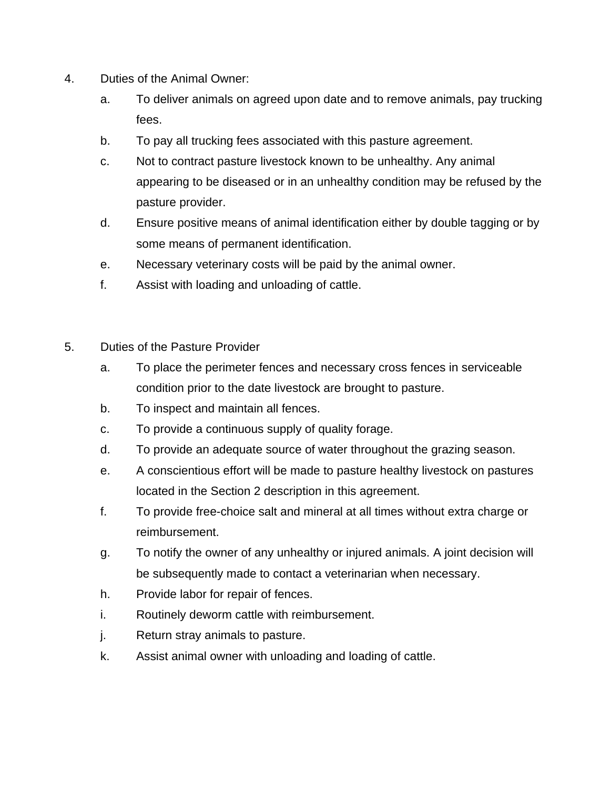- 4. Duties of the Animal Owner:
	- a. To deliver animals on agreed upon date and to remove animals, pay trucking fees.
	- b. To pay all trucking fees associated with this pasture agreement.
	- c. Not to contract pasture livestock known to be unhealthy. Any animal appearing to be diseased or in an unhealthy condition may be refused by the pasture provider.
	- d. Ensure positive means of animal identification either by double tagging or by some means of permanent identification.
	- e. Necessary veterinary costs will be paid by the animal owner.
	- f. Assist with loading and unloading of cattle.
- 5. Duties of the Pasture Provider
	- a. To place the perimeter fences and necessary cross fences in serviceable condition prior to the date livestock are brought to pasture.
	- b. To inspect and maintain all fences.
	- c. To provide a continuous supply of quality forage.
	- d. To provide an adequate source of water throughout the grazing season.
	- e. A conscientious effort will be made to pasture healthy livestock on pastures located in the Section 2 description in this agreement.
	- f. To provide free-choice salt and mineral at all times without extra charge or reimbursement.
	- g. To notify the owner of any unhealthy or injured animals. A joint decision will be subsequently made to contact a veterinarian when necessary.
	- h. Provide labor for repair of fences.
	- i. Routinely deworm cattle with reimbursement.
	- j. Return stray animals to pasture.
	- k. Assist animal owner with unloading and loading of cattle.